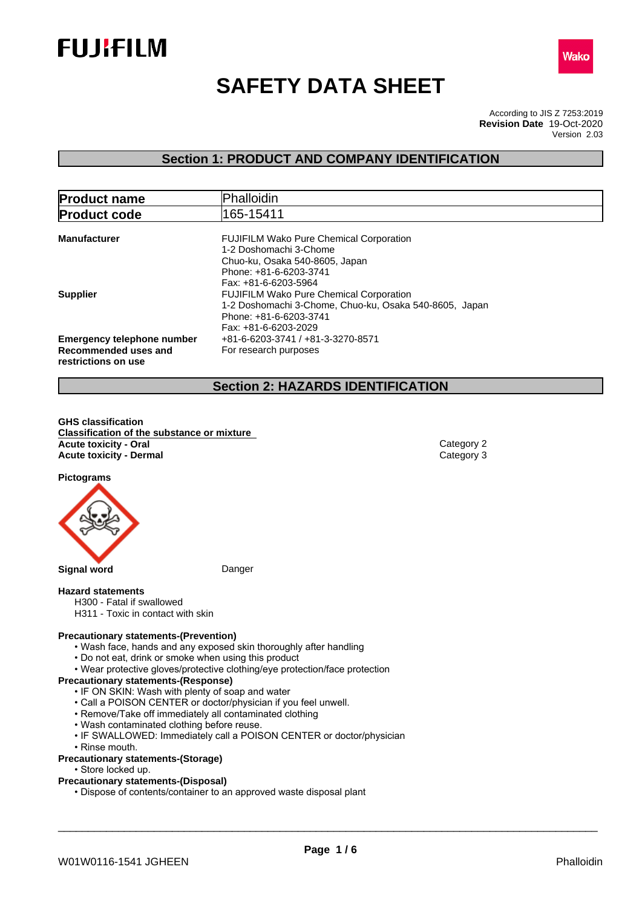



# **SAFETY DATA SHEET**

According to JIS Z 7253:2019 Version 2.03 **Revision Date** 19-Oct-2020

## **Section 1: PRODUCT AND COMPANY IDENTIFICATION**

| <b>Product name</b>               | Phalloidin                                             |
|-----------------------------------|--------------------------------------------------------|
| <b>Product code</b>               | 165-15411                                              |
|                                   |                                                        |
| <b>Manufacturer</b>               | <b>FUJIFILM Wako Pure Chemical Corporation</b>         |
|                                   | 1-2 Doshomachi 3-Chome                                 |
|                                   | Chuo-ku, Osaka 540-8605, Japan                         |
|                                   | Phone: +81-6-6203-3741                                 |
|                                   | Fax: +81-6-6203-5964                                   |
| <b>Supplier</b>                   | <b>FUJIFILM Wako Pure Chemical Corporation</b>         |
|                                   | 1-2 Doshomachi 3-Chome, Chuo-ku, Osaka 540-8605, Japan |
|                                   | Phone: +81-6-6203-3741                                 |
|                                   | Fax: +81-6-6203-2029                                   |
| <b>Emergency telephone number</b> | +81-6-6203-3741 / +81-3-3270-8571                      |
| Recommended uses and              | For research purposes                                  |
| restrictions on use               |                                                        |
|                                   |                                                        |

## **Section 2: HAZARDS IDENTIFICATION**

**GHS classification Classification of the substance or mixture Acute toxicity - Oral** Category 2 **Acute toxicity - Dermal** Category 3

**Pictograms**



**Signal word** Danger

#### **Hazard statements**

- H300 Fatal if swallowed
- H311 Toxic in contact with skin

## **Precautionary statements-(Prevention)**

- Wash face, hands and any exposed skin thoroughly after handling
- Do not eat, drink or smoke when using this product
- Wear protective gloves/protective clothing/eye protection/face protection

## **Precautionary statements-(Response)**

- IF ON SKIN: Wash with plenty of soap and water
- Call a POISON CENTER or doctor/physician if you feel unwell.
- Remove/Take off immediately all contaminated clothing
- Wash contaminated clothing before reuse.
- IF SWALLOWED: Immediately call a POISON CENTER or doctor/physician
- Rinse mouth.

## **Precautionary statements-(Storage)**

• Store locked up.

#### **Precautionary statements-(Disposal)**

• Dispose of contents/container to an approved waste disposal plant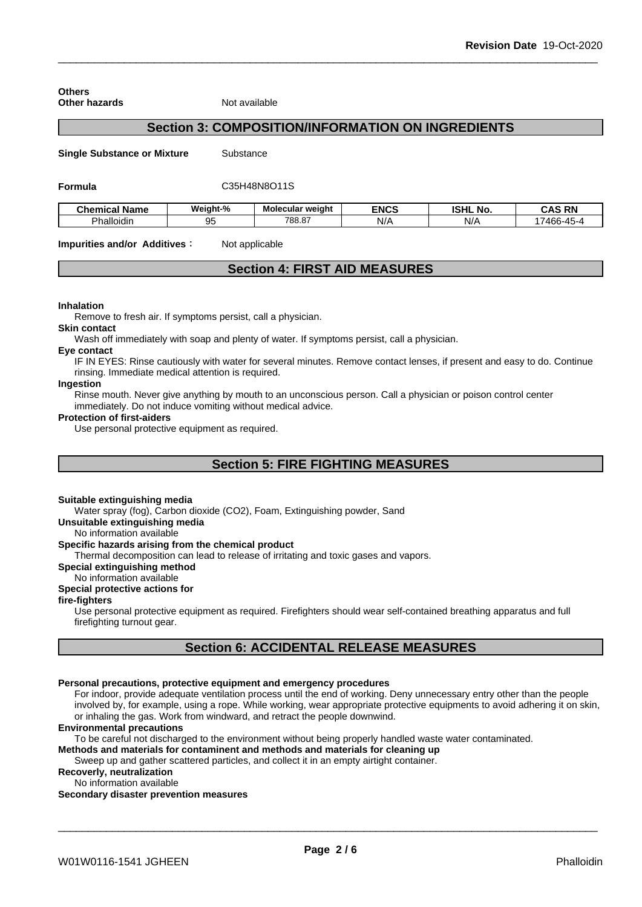| Other hazards                      | Not available |                                                          |             |                 |
|------------------------------------|---------------|----------------------------------------------------------|-------------|-----------------|
|                                    |               | <b>Section 3: COMPOSITION/INFORMATION ON INGREDIENTS</b> |             |                 |
| <b>Single Substance or Mixture</b> | Substance     |                                                          |             |                 |
| Formula                            |               | C35H48N8O11S                                             |             |                 |
| <b>Chemical Name</b>               | Weight-%      | <b>Molecular weight</b>                                  | <b>ENCS</b> | <b>ISHL No.</b> |
| Phalloidin                         | 95            | 788.87                                                   | N/A         | N/A             |

| .<br>$\sim$ | Chemica<br>Name | Weight-% | Molecular weight | <b>ENCS</b> | <b>ISHL</b><br>.No | <b>DN</b><br><u>. е</u><br>NI<br>w |
|-------------|-----------------|----------|------------------|-------------|--------------------|------------------------------------|
| ے ر         | Phalloidir      | л.       | 788.87           | N/          | N/                 | 466-45<br>⊥∽                       |

**Impurities and/or Additives CO** Not applicable

## **Section 4: FIRST AID MEASURES**

#### **Inhalation**

**Others**

Remove to fresh air. If symptoms persist, call a physician.

#### **Skin contact**

Wash off immediately with soap and plenty of water. If symptoms persist, calla physician.

#### **Eye contact**

IF IN EYES: Rinse cautiously with water forseveral minutes. Remove contact lenses, if present and easy to do. Continue rinsing. Immediate medical attention is required.

#### **Ingestion**

Rinse mouth. Never give anything by mouth to an unconscious person. Call a physician or poison control center immediately. Do not induce vomiting without medical advice.

### **Protection of first-aiders**

Use personal protective equipment as required.

## **Section 5: FIRE FIGHTING MEASURES**

#### **Suitable extinguishing media**

Water spray (fog), Carbon dioxide (CO2), Foam, Extinguishing powder, Sand

**Unsuitable extinguishing media**

No information available

#### **Specific hazards arising from the chemical product**

Thermal decomposition can lead to release of irritating and toxic gases and vapors.

**Special extinguishing method**

### No information available

## **Special protective actions for**

**fire-fighters**

Use personal protective equipment as required.Firefighters should wear self-contained breathing apparatus and full firefighting turnout gear.

## **Section 6: ACCIDENTAL RELEASE MEASURES**

#### **Personal precautions, protective equipment and emergency procedures**

For indoor, provide adequate ventilation process until the end of working. Deny unnecessary entry other than the people involved by, for example, using a rope. While working, wear appropriate protective equipments to avoid adhering it on skin, or inhaling the gas. Work from windward, and retract the people downwind.

#### **Environmental precautions**

To be careful not discharged to the environment without being properly handled waste water contaminated.

**Methods and materials for contaminent and methods and materials for cleaning up**

Sweep up and gather scattered particles, and collect it in an empty airtight container.

**Recoverly, neutralization**

No information available

#### **Secondary disaster prevention measures**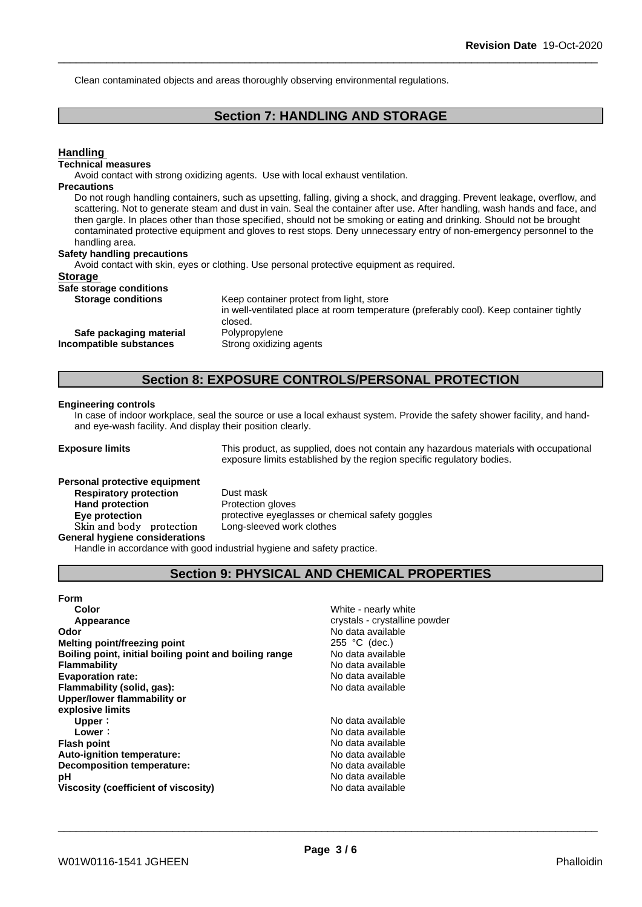Clean contaminated objects and areas thoroughly observing environmental regulations.

## **Section 7: HANDLING AND STORAGE**

| <b>Handling</b>                    |                                                                                                                                                                                                                                                                                                                                                                                                                                                                                                            |
|------------------------------------|------------------------------------------------------------------------------------------------------------------------------------------------------------------------------------------------------------------------------------------------------------------------------------------------------------------------------------------------------------------------------------------------------------------------------------------------------------------------------------------------------------|
| <b>Technical measures</b>          |                                                                                                                                                                                                                                                                                                                                                                                                                                                                                                            |
|                                    | Avoid contact with strong oxidizing agents. Use with local exhaust ventilation.                                                                                                                                                                                                                                                                                                                                                                                                                            |
| <b>Precautions</b>                 |                                                                                                                                                                                                                                                                                                                                                                                                                                                                                                            |
| handling area.                     | Do not rough handling containers, such as upsetting, falling, giving a shock, and dragging. Prevent leakage, overflow, and<br>scattering. Not to generate steam and dust in vain. Seal the container after use. After handling, wash hands and face, and<br>then gargle. In places other than those specified, should not be smoking or eating and drinking. Should not be brought<br>contaminated protective equipment and gloves to rest stops. Deny unnecessary entry of non-emergency personnel to the |
| <b>Safety handling precautions</b> |                                                                                                                                                                                                                                                                                                                                                                                                                                                                                                            |
|                                    | Avoid contact with skin, eyes or clothing. Use personal protective equipment as required.                                                                                                                                                                                                                                                                                                                                                                                                                  |
| <b>Storage</b>                     |                                                                                                                                                                                                                                                                                                                                                                                                                                                                                                            |
| Safe storage conditions            |                                                                                                                                                                                                                                                                                                                                                                                                                                                                                                            |
| <b>Storage conditions</b>          | Keep container protect from light, store                                                                                                                                                                                                                                                                                                                                                                                                                                                                   |
|                                    | in well-ventilated place at room temperature (preferably cool). Keep container tightly<br>closed.                                                                                                                                                                                                                                                                                                                                                                                                          |
| Safe packaging material            | Polypropylene                                                                                                                                                                                                                                                                                                                                                                                                                                                                                              |
| Incompatible substances            | Strong oxidizing agents                                                                                                                                                                                                                                                                                                                                                                                                                                                                                    |

## **Section 8: EXPOSURE CONTROLS/PERSONAL PROTECTION**

#### **Engineering controls**

In case of indoor workplace, seal the source or use a local exhaust system. Provide the safety shower facility, and handand eye-wash facility. And display their position clearly.

**Exposure limits** This product, as supplied, does not contain any hazardous materials with occupational exposure limits established by the region specific regulatory bodies.

## **Personal protective equipment**<br>**Respiratory protection** Dust mask **Respiratory** protection **Hand protection** Protection gloves Skin and body protection **General hygiene considerations**

**Eye protection** protective eyeglasses or chemical safety goggles<br>Skin and body protection Long-sleeved work clothes

Handle in accordance with good industrial hygiene and safety practice.

## **Section 9: PHYSICAL AND CHEMICAL PROPERTIES**

| <b>Form</b>                                            |                               |
|--------------------------------------------------------|-------------------------------|
| Color                                                  | White - nearly white          |
| Appearance                                             | crystals - crystalline powder |
| Odor                                                   | No data available             |
| Melting point/freezing point                           | 255 °C (dec.)                 |
| Boiling point, initial boiling point and boiling range | No data available             |
| <b>Flammability</b>                                    | No data available             |
| <b>Evaporation rate:</b>                               | No data available             |
| Flammability (solid, gas):                             | No data available             |
| Upper/lower flammability or                            |                               |
| explosive limits                                       |                               |
| Upper:                                                 | No data available             |
| Lower:                                                 | No data available             |
| <b>Flash point</b>                                     | No data available             |
| Auto-ignition temperature:                             | No data available             |
| <b>Decomposition temperature:</b>                      | No data available             |
| рH                                                     | No data available             |
| Viscosity (coefficient of viscosity)                   | No data available             |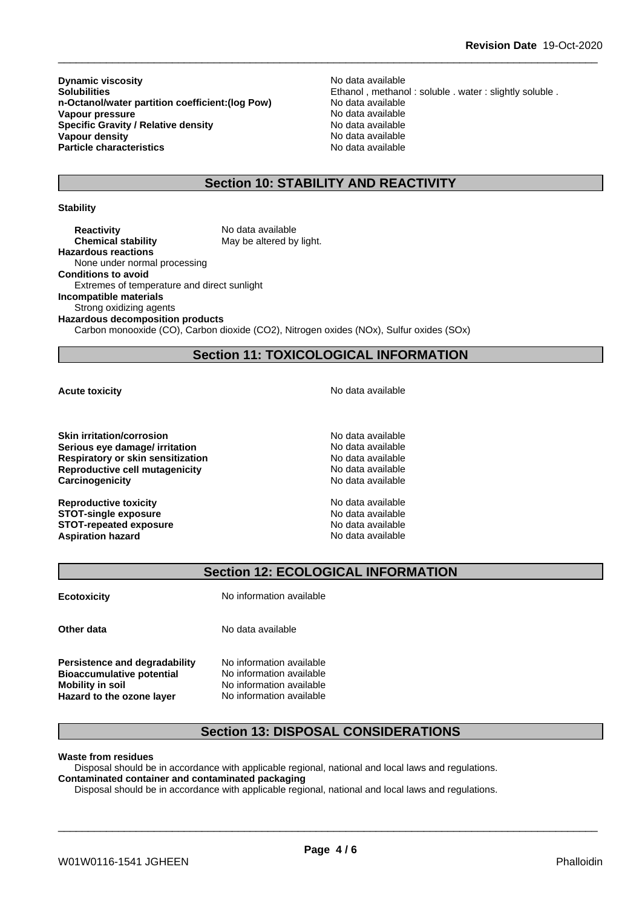**Dynamic viscosity**<br> **Solubilities**<br> **Solubilities**<br> **Solubilities n-Octanol/water partition coefficient:(log Pow) Vapour pressure**<br> **Specific Gravity / Relative density**<br> **Specific Gravity / Relative density**<br> **No data available Specific Gravity / Relative density<br>Vapour density Particle characteristics** No data available

Ethanol , methanol : soluble . water : slightly soluble . No data available **No data available** 

## **Section 10: STABILITY AND REACTIVITY**

#### **Stability**

**Reactivity** No data available **Chemical stability** May be altered by light. **Hazardous reactions** None under normal processing **Conditions to avoid** Extremes of temperature and direct sunlight **Incompatible materials** Strong oxidizing agents **Hazardous decomposition products**

Carbon monooxide (CO), Carbon dioxide (CO2), Nitrogen oxides (NOx), Sulfur oxides (SOx)

## **Section 11: TOXICOLOGICAL INFORMATION**

**Skin irritation/corrosion** No data available **Serious eye damage/ irritation No data available No data available Respiratory or skin sensitization**<br> **Reproductive cell mutagenicity**<br> **Reproductive cell mutagenicity**<br> **No data available Reproductive cell mutagenicity Carcinogenicity Carcinogenicity No data available** 

**Reproductive toxicity** No data available **STOT-single exposure**  $\qquad \qquad \text{No data available}$ **STOT-repeated exposure**<br> **Aspiration hazard**<br> **Aspiration hazard**<br> **Aspiration hazard Aspiration hazard** 

**Acute toxicity Acute toxicity Acute has a structure in the structure of**  $\mathbb{R}^n$  **<b>No** data available

## **Section 12: ECOLOGICAL INFORMATION**

**Ecotoxicity** No information available

**Persistence and degradability** No information available **Bioaccumulative potential** No information available **Mobility** in soil **Mobility** in soil **No information available Hazard to the ozone layer** No information available

**Other data** No data available

## **Section 13: DISPOSAL CONSIDERATIONS**

**Waste from residues**

Disposal should be in accordance with applicable regional, national and local laws and regulations. **Contaminated container and contaminated packaging**

Disposal should be in accordance with applicable regional, national and local laws and regulations.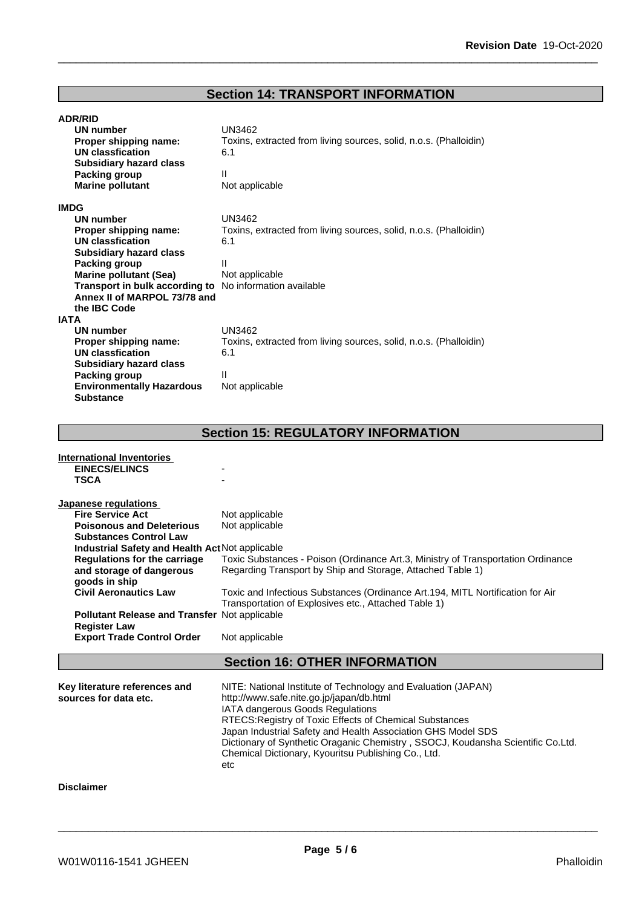## **Section 14: TRANSPORT INFORMATION**

| <b>ADR/RID</b>                   |                                                                   |
|----------------------------------|-------------------------------------------------------------------|
| UN number                        | UN3462                                                            |
| Proper shipping name:            | Toxins, extracted from living sources, solid, n.o.s. (Phalloidin) |
| UN classfication                 | 6.1                                                               |
| <b>Subsidiary hazard class</b>   |                                                                   |
| Packing group                    | Ш                                                                 |
| <b>Marine pollutant</b>          | Not applicable                                                    |
|                                  |                                                                   |
| <b>IMDG</b><br><b>UN number</b>  | <b>UN3462</b>                                                     |
|                                  |                                                                   |
| Proper shipping name:            | Toxins, extracted from living sources, solid, n.o.s. (Phalloidin) |
| UN classfication                 | 6.1                                                               |
| <b>Subsidiary hazard class</b>   |                                                                   |
| Packing group                    | Ш                                                                 |
| <b>Marine pollutant (Sea)</b>    | Not applicable                                                    |
| Transport in bulk according to   | No information available                                          |
| Annex II of MARPOL 73/78 and     |                                                                   |
| the IBC Code                     |                                                                   |
| <b>IATA</b>                      |                                                                   |
| UN number                        | <b>UN3462</b>                                                     |
| Proper shipping name:            | Toxins, extracted from living sources, solid, n.o.s. (Phalloidin) |
| UN classfication                 | 6.1                                                               |
| Subsidiary hazard class          |                                                                   |
| Packing group                    | Ш                                                                 |
| <b>Environmentally Hazardous</b> | Not applicable                                                    |
| <b>Substance</b>                 |                                                                   |

## **Section 15: REGULATORY INFORMATION**

| International Inventories<br><b>EINECS/ELINCS</b><br><b>TSCA</b>                                                                                                                                                                                            |                                                                                                                                                                                                                                                                                                                                                                                                                           |
|-------------------------------------------------------------------------------------------------------------------------------------------------------------------------------------------------------------------------------------------------------------|---------------------------------------------------------------------------------------------------------------------------------------------------------------------------------------------------------------------------------------------------------------------------------------------------------------------------------------------------------------------------------------------------------------------------|
| Japanese regulations<br><b>Fire Service Act</b><br><b>Poisonous and Deleterious</b><br><b>Substances Control Law</b><br>Industrial Safety and Health Act Not applicable<br><b>Regulations for the carriage</b><br>and storage of dangerous<br>goods in ship | Not applicable<br>Not applicable<br>Toxic Substances - Poison (Ordinance Art.3, Ministry of Transportation Ordinance<br>Regarding Transport by Ship and Storage, Attached Table 1)                                                                                                                                                                                                                                        |
| <b>Civil Aeronautics Law</b><br>Pollutant Release and Transfer Not applicable<br><b>Register Law</b><br><b>Export Trade Control Order</b>                                                                                                                   | Toxic and Infectious Substances (Ordinance Art.194, MITL Nortification for Air<br>Transportation of Explosives etc., Attached Table 1)<br>Not applicable                                                                                                                                                                                                                                                                  |
|                                                                                                                                                                                                                                                             | <b>Section 16: OTHER INFORMATION</b>                                                                                                                                                                                                                                                                                                                                                                                      |
| Key literature references and<br>sources for data etc.                                                                                                                                                                                                      | NITE: National Institute of Technology and Evaluation (JAPAN)<br>http://www.safe.nite.go.jp/japan/db.html<br>IATA dangerous Goods Regulations<br>RTECS: Registry of Toxic Effects of Chemical Substances<br>Japan Industrial Safety and Health Association GHS Model SDS<br>Dictionary of Synthetic Oraganic Chemistry, SSOCJ, Koudansha Scientific Co.Ltd.<br>Chemical Dictionary, Kyouritsu Publishing Co., Ltd.<br>etc |
| <b>Disclaimer</b>                                                                                                                                                                                                                                           |                                                                                                                                                                                                                                                                                                                                                                                                                           |
|                                                                                                                                                                                                                                                             |                                                                                                                                                                                                                                                                                                                                                                                                                           |